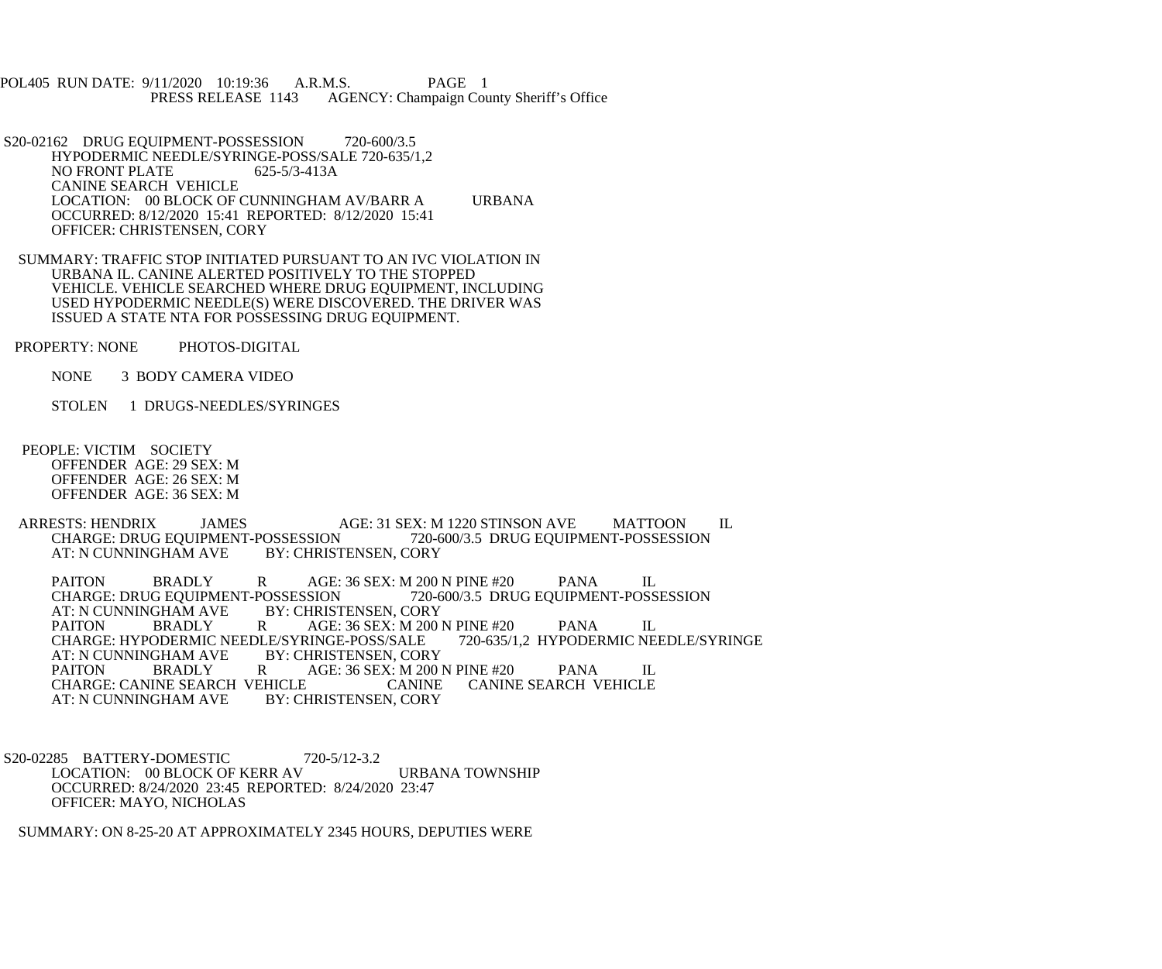POL405 RUN DATE: 9/11/2020 10:19:36 A.R.M.S. PAGE 1<br>PRESS RELEASE 1143 AGENCY: Champaign Cou AGENCY: Champaign County Sheriff's Office

S20-02162 DRUG EQUIPMENT-POSSESSION 720-600/3.5 HYPODERMIC NEEDLE/SYRINGE-POSS/SALE 720-635/1,2<br>NO FRONT PLATE 625-5/3-413A NO FRONT PLATE CANINE SEARCH VEHICLE LOCATION: 00 BLOCK OF CUNNINGHAM AV/BARR A URBANA OCCURRED: 8/12/2020 15:41 REPORTED: 8/12/2020 15:41 OFFICER: CHRISTENSEN, CORY

 SUMMARY: TRAFFIC STOP INITIATED PURSUANT TO AN IVC VIOLATION IN URBANA IL. CANINE ALERTED POSITIVELY TO THE STOPPED VEHICLE. VEHICLE SEARCHED WHERE DRUG EQUIPMENT, INCLUDING USED HYPODERMIC NEEDLE(S) WERE DISCOVERED. THE DRIVER WAS ISSUED A STATE NTA FOR POSSESSING DRUG EQUIPMENT.

PROPERTY: NONE PHOTOS-DIGITAL

NONE 3 BODY CAMERA VIDEO

STOLEN 1 DRUGS-NEEDLES/SYRINGES

 PEOPLE: VICTIM SOCIETY OFFENDER AGE: 29 SEX: M OFFENDER AGE: 26 SEX: M OFFENDER AGE: 36 SEX: M

ARRESTS: HENDRIX JAMES AGE: 31 SEX: M 1220 STINSON AVE MATTOON IL CHARGE: DRUG EQUIPMENT-POSSESSION 720-600/3.5 DRUG EQUIPMENT-POSSESSION OSSESSION 720-600/3.5 DRUG EQUIPMENT-POSSESSION<br>BY: CHRISTENSEN. CORY AT: N CUNNINGHAM AVE

PAITON BRADLY R AGE: 36 SEX: M 200 N PINE #20 PANA IL<br>CHARGE: DRUG EQUIPMENT-POSSESSION 720-600/3.5 DRUG EQUIPMENT-POSS OSSESSION 720-600/3.5 DRUG EQUIPMENT-POSSESSION BY: CHRISTENSEN, CORY AT: N CUNNINGHAM AVE B<br>PAITON BRADLY R AGE: 36 SEX: M 200 N PINE #20 PANA IL<br>RINGE-POSS/SALE 720-635/1,2 HYPODERMIC NEEDLE/SYRINGE CHARGE: HYPODERMIC NEEDLE/SYRINGE-POSS/SALE<br>AT: N CUNNINGHAM AVE BY: CHRISTENSEN, COR AT: N CUNNINGHAM AVE BY: CHRISTENSEN, CORY<br>PAITON BRADLY R AGE: 36 SEX: M 200 AGE: 36 SEX: M 200 N PINE #20 PANA IL<br>CANINE CANINE SEARCH VEHICLE CHARGE: CANINE SEARCH VEHICLE CANINE AT: N CUNNINGHAM AVE BY: CHRISTENSEN, CORY AT: N CUNNINGHAM AVE

 S20-02285 BATTERY-DOMESTIC 720-5/12-3.2 LOCATION: 00 BLOCK OF KERR AV URBANA TOWNSHIP OCCURRED: 8/24/2020 23:45 REPORTED: 8/24/2020 23:47 OFFICER: MAYO, NICHOLAS

SUMMARY: ON 8-25-20 AT APPROXIMATELY 2345 HOURS, DEPUTIES WERE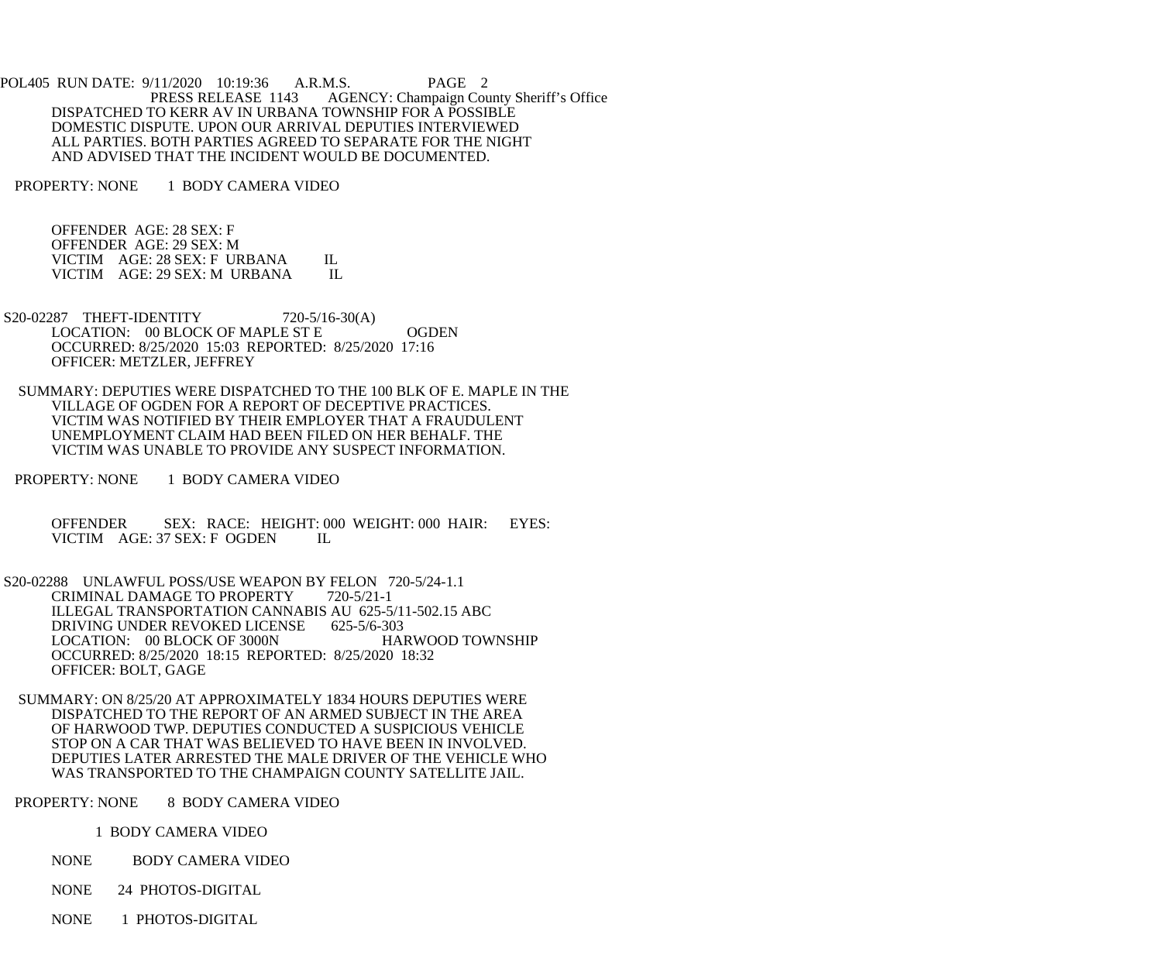POL405 RUN DATE: 9/11/2020 10:19:36 A.R.M.S. PAGE 2<br>PRESS RELEASE 1143 AGENCY: Champaign Cou AGENCY: Champaign County Sheriff's Office DISPATCHED TO KERR AV IN URBANA TOWNSHIP FOR A POSSIBLE DOMESTIC DISPUTE. UPON OUR ARRIVAL DEPUTIES INTERVIEWED ALL PARTIES. BOTH PARTIES AGREED TO SEPARATE FOR THE NIGHT AND ADVISED THAT THE INCIDENT WOULD BE DOCUMENTED.

PROPERTY: NONE 1 BODY CAMERA VIDEO

 OFFENDER AGE: 28 SEX: F OFFENDER AGE: 29 SEX: M VICTIM AGE: 28 SEX: F URBANA IL VICTIM AGE: 29 SEX: M URBANA IL

- S20-02287 THEFT-IDENTITY 720-5/16-30(A) LOCATION: 00 BLOCK OF MAPLE ST E OGDEN OCCURRED: 8/25/2020 15:03 REPORTED: 8/25/2020 17:16 OFFICER: METZLER, JEFFREY
- SUMMARY: DEPUTIES WERE DISPATCHED TO THE 100 BLK OF E. MAPLE IN THE VILLAGE OF OGDEN FOR A REPORT OF DECEPTIVE PRACTICES. VICTIM WAS NOTIFIED BY THEIR EMPLOYER THAT A FRAUDULENT UNEMPLOYMENT CLAIM HAD BEEN FILED ON HER BEHALF. THE VICTIM WAS UNABLE TO PROVIDE ANY SUSPECT INFORMATION.
- PROPERTY: NONE 1 BODY CAMERA VIDEO

OFFENDER SEX: RACE: HEIGHT: 000 WEIGHT: 000 HAIR: EYES:<br>VICTIM AGE: 37 SEX: FOGDEN IL VICTIM AGE: 37 SEX: F OGDEN

- S20-02288 UNLAWFUL POSS/USE WEAPON BY FELON 720-5/24-1.1 CRIMINAL DAMAGE TO PROPERTY 720-5/21-1 ILLEGAL TRANSPORTATION CANNABIS AU 625-5/11-502.15 ABC<br>DRIVING UNDER REVOKED LICENSE 625-5/6-303 DRIVING UNDER REVOKED LICENSE 625-5/6-303<br>LOCATION: 00 BLOCK OF 3000N HARWOOD TOWNSHIP LOCATION: 00 BLOCK OF 3000N OCCURRED: 8/25/2020 18:15 REPORTED: 8/25/2020 18:32 OFFICER: BOLT, GAGE
- SUMMARY: ON 8/25/20 AT APPROXIMATELY 1834 HOURS DEPUTIES WERE DISPATCHED TO THE REPORT OF AN ARMED SUBJECT IN THE AREA OF HARWOOD TWP. DEPUTIES CONDUCTED A SUSPICIOUS VEHICLE STOP ON A CAR THAT WAS BELIEVED TO HAVE BEEN IN INVOLVED. DEPUTIES LATER ARRESTED THE MALE DRIVER OF THE VEHICLE WHO WAS TRANSPORTED TO THE CHAMPAIGN COUNTY SATELLITE JAIL.

PROPERTY: NONE 8 BODY CAMERA VIDEO

1 BODY CAMERA VIDEO

- NONE BODY CAMERA VIDEO
- NONE 24 PHOTOS-DIGITAL
- NONE 1 PHOTOS-DIGITAL